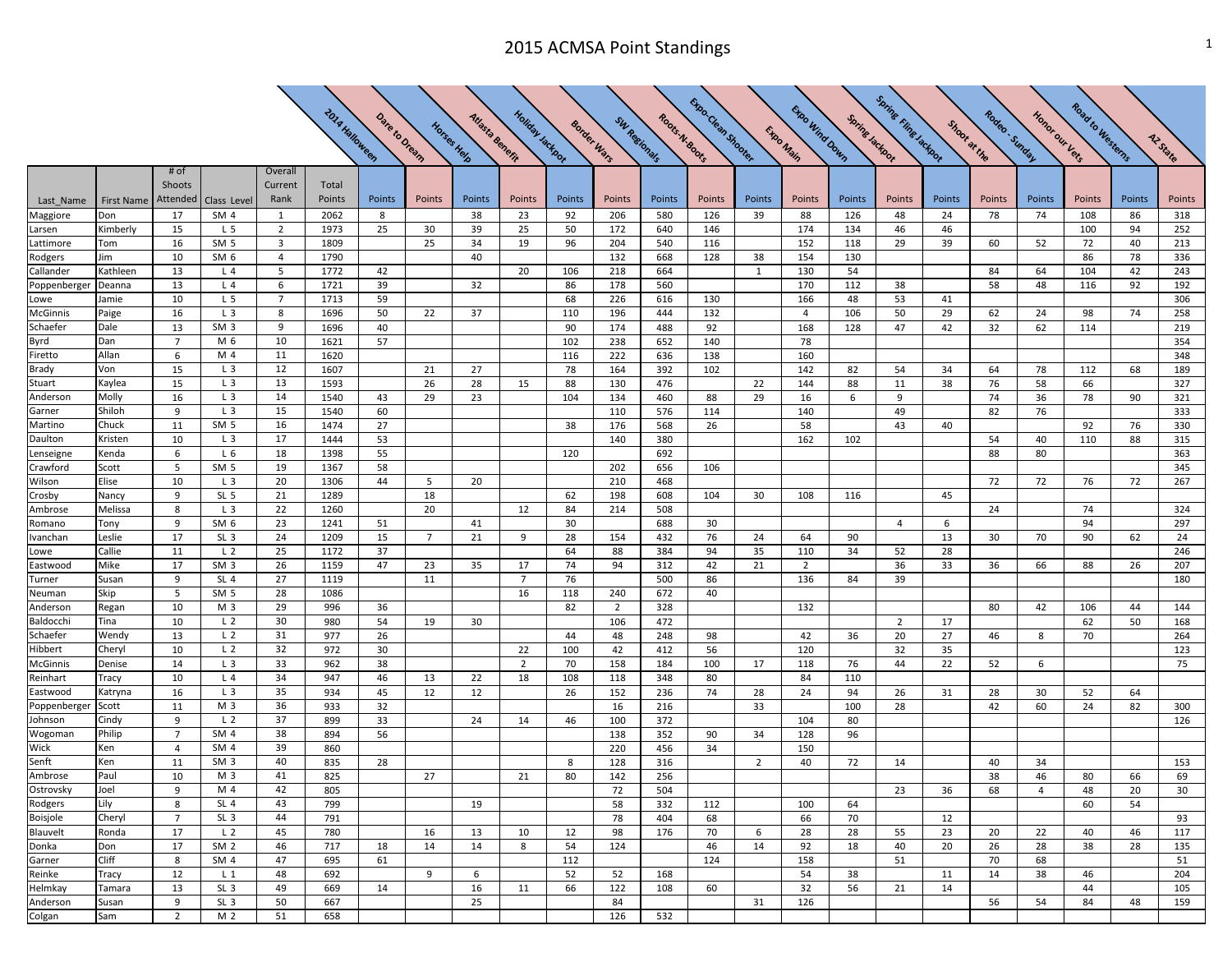## 2015 ACMSA Point Standings 1 and 1 and 2015 ACMSA Point Standings

 $\boldsymbol{\mathcal{N}}$ 

╲

╲

N

 $\mathcal{L}$  and  $\mathcal{L}$ 

 $\Delta$  and  $\Delta$ 

 $\sum$ 

 $\mathbf{X}$ 

 $\sum$ 

 $\sum$ 

|                      |               |                 |                                    |                                  |                       |               |                |                 |                  |           |                             |                | Exportesy Shope |                |                |                 | <b>Spring Fing Latings</b> |              |                |                | Road to Westerns |          |            |
|----------------------|---------------|-----------------|------------------------------------|----------------------------------|-----------------------|---------------|----------------|-----------------|------------------|-----------|-----------------------------|----------------|-----------------|----------------|----------------|-----------------|----------------------------|--------------|----------------|----------------|------------------|----------|------------|
|                      |               |                 |                                    |                                  | <b>2014 Halloween</b> |               |                |                 |                  |           |                             | Roots N. 800ts |                 |                |                |                 |                            |              |                |                |                  |          |            |
|                      |               |                 |                                    |                                  |                       |               | Horses Help    |                 |                  |           |                             |                |                 |                | Expo Main      |                 |                            | Shoot at the |                |                |                  |          |            |
|                      |               |                 |                                    |                                  |                       |               |                |                 |                  |           |                             |                |                 |                |                |                 |                            |              |                |                |                  |          | Az State   |
|                      |               |                 |                                    |                                  |                       | Date to Dream |                | Atlasta Benefit | Holiday Jackport |           | SW Regionals<br>Border Wars |                |                 |                | Expo Wind Down | Spring Jackport |                            |              | Rodeo . Simder | Honor our Vers |                  |          |            |
|                      |               | # of            |                                    | Overall                          |                       |               |                |                 |                  |           |                             |                |                 |                |                |                 |                            |              |                |                |                  |          |            |
|                      |               | Shoots          |                                    | Current                          | Total                 |               |                |                 |                  |           |                             |                |                 |                |                |                 |                            |              |                |                |                  |          |            |
| Last_Name            | First Name    | Attended        | Class Level                        | Rank                             | Points                | Points        | Points         | Points          | Points           | Points    | Points                      | Points         | Points          | Points         | Points         | Points          | Points                     | Points       | Points         | Points         | Points           | Points   | Points     |
| Maggiore             | Don           | 17              | SM <sub>4</sub>                    | 1                                | 2062                  | 8             |                | 38              | 23               | 92        | 206                         | 580            | 126             | 39             | 88             | 126             | 48                         | 24           | 78             | 74             | 108              | 86       | 318        |
| Larsen               | Kimberly      | 15              | L <sub>5</sub>                     | $\overline{2}$<br>$\overline{3}$ | 1973                  | 25            | 30<br>25       | 39              | 25               | 50<br>96  | 172                         | 640            | 146             |                | 174            | 134             | 46                         | 46           |                |                | 100              | 94       | 252        |
| Lattimore            | Tom<br>Jim    | 16<br>10        | SM <sub>5</sub><br>SM <sub>6</sub> | $\overline{4}$                   | 1809<br>1790          |               |                | 34<br>40        | 19               |           | 204<br>132                  | 540<br>668     | 116<br>128      | 38             | 152<br>154     | 118<br>130      | 29                         | 39           | 60             | 52             | 72<br>86         | 40<br>78 | 213<br>336 |
| Rodgers<br>Callander | Kathleen      | 13              | L <sub>4</sub>                     | 5                                | 1772                  | 42            |                |                 | 20               | 106       | 218                         | 664            |                 | 1              | 130            | 54              |                            |              | 84             | 64             | 104              | 42       | 243        |
| Poppenberger         | Deanna        | 13              | L <sub>4</sub>                     | 6                                | 1721                  | 39            |                | 32              |                  | 86        | 178                         | 560            |                 |                | 170            | 112             | 38                         |              | 58             | 48             | 116              | 92       | 192        |
| Lowe                 | Jamie         | 10              | L <sub>5</sub>                     | $\overline{7}$                   | 1713                  | 59            |                |                 |                  | 68        | 226                         | 616            | 130             |                | 166            | 48              | 53                         | 41           |                |                |                  |          | 306        |
| McGinnis             | Paige         | 16              | L <sub>3</sub>                     | 8                                | 1696                  | 50            | 22             | 37              |                  | 110       | 196                         | 444            | 132             |                | $\overline{4}$ | 106             | 50                         | 29           | 62             | 24             | 98               | 74       | 258        |
| Schaefer             | Dale          | 13              | SM <sub>3</sub>                    | 9                                | 1696                  | 40            |                |                 |                  | 90        | 174                         | 488            | 92              |                | 168            | 128             | 47                         | 42           | 32             | 62             | 114              |          | 219        |
| Byrd                 | Dan           | $\overline{7}$  | M 6                                | 10                               | 1621                  | 57            |                |                 |                  | 102       | 238                         | 652            | 140             |                | 78             |                 |                            |              |                |                |                  |          | 354        |
| Firetto              | Allan         | 6               | M 4                                | 11                               | 1620                  |               |                |                 |                  | 116       | 222                         | 636            | 138             |                | 160            |                 |                            |              |                |                |                  |          | 348        |
| Brady                | Von           | 15              | L <sub>3</sub>                     | 12                               | 1607                  |               | 21             | 27              |                  | 78        | 164                         | 392            | 102             |                | 142            | 82              | 54                         | 34           | 64             | 78             | 112              | 68       | 189        |
| Stuart               | Kaylea        | 15              | L <sub>3</sub>                     | 13                               | 1593                  |               | 26             | 28              | 15               | 88        | 130                         | 476            |                 | 22             | 144            | 88              | 11                         | 38           | 76             | 58             | 66               |          | 327        |
| Anderson             | Molly         | 16              | L <sub>3</sub>                     | 14                               | 1540                  | 43            | 29             | 23              |                  | 104       | 134                         | 460            | 88              | 29             | 16             | 6               | 9                          |              | 74             | 36             | 78               | 90       | 321        |
| Garner               | Shiloh        | 9               | L <sub>3</sub>                     | 15                               | 1540                  | 60            |                |                 |                  |           | 110                         | 576            | 114             |                | 140            |                 | 49                         |              | 82             | 76             |                  |          | 333        |
| Martino              | Chuck         | 11              | SM <sub>5</sub>                    | 16                               | 1474                  | 27            |                |                 |                  | 38        | 176                         | 568            | 26              |                | 58             |                 | 43                         | 40           |                |                | 92               | 76       | 330        |
| <b>Daulton</b>       | Kristen       | 10              | L <sub>3</sub>                     | 17                               | 1444                  | 53            |                |                 |                  |           | 140                         | 380            |                 |                | 162            | 102             |                            |              | 54             | 40             | 110              | 88       | 315        |
| Lenseigne            | Kenda         | 6               | L <sub>6</sub>                     | 18                               | 1398                  | 55            |                |                 |                  | 120       |                             | 692            |                 |                |                |                 |                            |              | 88             | 80             |                  |          | 363        |
| Crawford             | Scott         | 5               | SM <sub>5</sub>                    | 19                               | 1367                  | 58            |                |                 |                  |           | 202                         | 656            | 106             |                |                |                 |                            |              |                |                |                  |          | 345        |
| Wilson               | Elise         | 10              | $L_3$                              | 20                               | 1306                  | 44            | 5              | 20              |                  |           | 210                         | 468            |                 |                |                |                 |                            |              | 72             | 72             | 76               | 72       | 267        |
| Crosby               | Nancy         | 9               | SL <sub>5</sub>                    | 21                               | 1289                  |               | 18             |                 |                  | 62        | 198                         | 608            | 104             | 30             | 108            | 116             |                            | 45           |                |                |                  |          |            |
| Ambrose              | Melissa       | 8               | L <sub>3</sub>                     | 22                               | 1260                  |               | 20             |                 | 12               | 84        | 214                         | 508            |                 |                |                |                 |                            |              | 24             |                | 74               |          | 324        |
| Romano               | Tony          | 9               | SM <sub>6</sub>                    | 23                               | 1241                  | 51            |                | 41              |                  | 30        |                             | 688            | 30              |                |                |                 | $\overline{4}$             | 6            |                |                | 94               |          | 297        |
| Ivanchan             | Leslie        | 17              | SL <sub>3</sub>                    | 24                               | 1209                  | 15            | $\overline{7}$ | 21              | 9                | 28        | 154                         | 432            | 76              | 24             | 64             | 90              |                            | 13           | 30             | 70             | 90               | 62       | 24         |
| Lowe                 | Callie        | 11              | L <sub>2</sub>                     | 25                               | 1172                  | 37            |                |                 |                  | 64        | 88                          | 384            | 94              | 35             | 110            | 34              | 52                         | 28           |                |                |                  |          | 246        |
| Eastwood             | Mike          | 17              | SM <sub>3</sub>                    | 26                               | 1159                  | 47            | 23             | 35              | 17               | 74        | 94                          | 312            | 42              | 21             | $\overline{2}$ |                 | 36                         | 33           | 36             | 66             | 88               | 26       | 207        |
| Turner               | Susan<br>Skip | 9<br>5          | SL <sub>4</sub><br>SM <sub>5</sub> | 27<br>28                         | 1119                  |               | 11             |                 | $\overline{7}$   | 76        |                             | 500            | 86              |                | 136            | 84              | 39                         |              |                |                |                  |          | 180        |
| Neuman<br>Anderson   | Regan         | 10              | M 3                                | 29                               | 1086<br>996           | 36            |                |                 | 16               | 118<br>82 | 240<br>$\overline{2}$       | 672<br>328     | 40              |                | 132            |                 |                            |              | 80             | 42             | 106              | 44       | 144        |
| Baldocchi            | Tina          | 10              | L <sub>2</sub>                     | 30                               | 980                   | 54            | 19             | 30              |                  |           | 106                         | 472            |                 |                |                |                 | 2                          | 17           |                |                | 62               | 50       | 168        |
| Schaefer             | Wendy         | 13              | L <sub>2</sub>                     | 31                               | 977                   | 26            |                |                 |                  | 44        | 48                          | 248            | 98              |                | 42             | 36              | 20                         | 27           | 46             | 8              | 70               |          | 264        |
| Hibbert              | Cheryl        | 10              | L <sub>2</sub>                     | 32                               | 972                   | 30            |                |                 | 22               | 100       | 42                          | 412            | 56              |                | 120            |                 | 32                         | 35           |                |                |                  |          | 123        |
| McGinnis             | Denise        | 14              | L <sub>3</sub>                     | 33                               | 962                   | 38            |                |                 | $\overline{2}$   | 70        | 158                         | 184            | 100             | 17             | 118            | 76              | 44                         | 22           | 52             | 6              |                  |          | 75         |
| Reinhart             | Tracy         | 10              | L 4                                | 34                               | 947                   | 46            | 13             | 22              | 18               | 108       | 118                         | 348            | 80              |                | 84             | 110             |                            |              |                |                |                  |          |            |
| Eastwood             | Katryna       | 16              | L <sub>3</sub>                     | 35                               | 934                   | 45            | 12             | 12              |                  | 26        | 152                         | 236            | 74              | 28             | 24             | 94              | 26                         | 31           | 28             | 30             | 52               | 64       |            |
| Poppenberger         | Scott         | 11              | M 3                                | 36                               | 933                   | 32            |                |                 |                  |           | 16                          | 216            |                 | 33             |                | 100             | 28                         |              | 42             | 60             | 24               | 82       | 300        |
| Johnson              | Cindy         | 9               | L <sub>2</sub>                     | 37                               | 899                   | 33            |                | 24              | 14               | 46        | 100                         | 372            |                 |                | 104            | 80              |                            |              |                |                |                  |          | 126        |
| Wogoman              | Philip        | $\overline{7}$  | SM <sub>4</sub>                    | 38                               | 894                   | 56            |                |                 |                  |           | 138                         | 352            | 90              | 34             | 128            | 96              |                            |              |                |                |                  |          |            |
| Wick                 | Ken           | $\overline{4}$  | SM <sub>4</sub>                    | 39                               | 860                   |               |                |                 |                  |           | 220                         | 456            | 34              |                | 150            |                 |                            |              |                |                |                  |          |            |
| Senft                | Ken           | 11              | SM <sub>3</sub>                    | 40                               | 835                   | 28            |                |                 |                  | 8         | 128                         | 316            |                 | $\overline{2}$ | 40             | 72              | 14                         |              | 40             | 34             |                  |          | 153        |
| Ambrose              | Paul          | 10              | M 3                                | 41                               | 825                   |               | 27             |                 | 21               | 80        | 142                         | 256            |                 |                |                |                 |                            |              | 38             | 46             | 80               | 66       | 69         |
| Ostrovsky            | Joel          | 9               | M 4                                | 42                               | 805                   |               |                |                 |                  |           | 72                          | 504            |                 |                |                |                 | 23                         | 36           | 68             | $\overline{4}$ | 48               | 20       | 30         |
| Rodgers              | Lily          | 8               | SL <sub>4</sub>                    | 43                               | 799                   |               |                | 19              |                  |           | 58                          | 332            | 112             |                | 100            | 64              |                            |              |                |                | 60               | 54       |            |
| Boisjole             | Cheryl        | $7\overline{ }$ | SL <sub>3</sub>                    | 44                               | 791                   |               |                |                 |                  |           | 78                          | 404            | 68              |                | 66             | 70              |                            | 12           |                |                |                  |          | 93         |
| Blauvelt             | Ronda         | 17              | L <sub>2</sub>                     | 45                               | 780                   |               | 16             | 13              | 10               | 12        | 98                          | 176            | 70              | 6              | 28             | 28              | 55                         | 23           | 20             | 22             | 40               | 46       | 117        |
| Donka                | Don           | 17              | SM <sub>2</sub>                    | 46                               | 717                   | 18            | 14             | 14              | 8                | 54        | 124                         |                | 46              | 14             | 92             | 18              | 40                         | 20           | 26             | 28             | 38               | 28       | 135        |
| Garner               | <b>Cliff</b>  | 8               | SM <sub>4</sub>                    | 47                               | 695                   | 61            |                |                 |                  | 112       |                             |                | 124             |                | 158            |                 | 51                         |              | 70             | 68             |                  |          | 51         |
| Reinke               | Tracy         | 12              | $L_1$                              | 48                               | 692                   |               | 9              | 6               |                  | 52        | 52                          | 168            |                 |                | 54             | 38              |                            | 11           | 14             | 38             | 46               |          | 204        |
| Helmkay              | Tamara        | 13              | SL <sub>3</sub>                    | 49                               | 669                   | 14            |                | 16              | 11               | 66        | 122                         | 108            | 60              |                | 32             | 56              | 21                         | 14           |                |                | 44               |          | 105        |
| Anderson             | Susan         | 9               | SL <sub>3</sub>                    | 50                               | 667                   |               |                | 25              |                  |           | 84                          |                |                 | 31             | 126            |                 |                            |              | 56             | 54             | 84               | 48       | 159        |
| Colgan               | Sam           | $\overline{2}$  | M 2                                | 51                               | 658                   |               |                |                 |                  |           | 126                         | 532            |                 |                |                |                 |                            |              |                |                |                  |          |            |